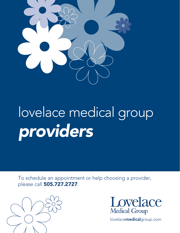

# lovelace medical group *providers*

To schedule an appointment or help choosing a provider, please call 505.727.2727.





lovelacemedicalgroup.com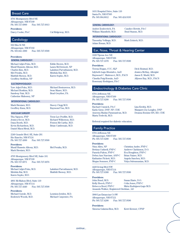# Breast Care

4701 Montgomery Blvd NE Albuquerque, NM 87109 Ph: 505.727.6900 Fax: 505.727.6913

**Providers:**

Darcy Cooke, PA-C Cal Ridgeway, M.D.

# **Cardiology**

502 Elm St NE Albuquerque, NM 87102 Ph: 505.841.1000 Fax: 505.727.9590

#### **Providers:**

#### **GENERAL CARDIOLOGY:**

Michael Adjei-Poku, M.D. Eddie Brown, M.D. Munif Hussein Alkouz, M.D. Laura McDermott, NP Charles Kim, M.D. Lakshmi Parvathaneni, M.D. Mel Peralta, M.D. Mridula Rai, M.D. Maithili Shenoy, M.D. Karen Sopko, M.D. Geoffrey Steffens, NP

#### **ELECTROPHYSIOLOGY:**

Yaw Adjei-Poku, M.D. Michael Bestrawros, M.D. Michael Hoskins, M.D. Sean Mazer, M.D. Sandeep Nair, M.D. Brad Gwyther, PA Catherine Mahoney, NP

#### **INTERVENTIONAL CARDIOLOGY:**

Mark Bieniarz, M.D. Stacey Clegg M.D. Geoffrey Kunz, M.D. Raymond Yau, M.D.

#### **VASCULAR SURGERY**

Thu Nguyen, FNP Trent Lee Proffitt, M.D. Jessica Secor, M.D. Richard Wilkerson, M.D. Dana Booth, M.D. Fenton McCarthy, M.D. Kevin Richardson, M.D. Brian Castlemain, M.D. Daniel Maoz-Metzl, M.D.

2240 Grande Blvd. SE, Suite 201 Rio Rancho, NM 87124 Ph: 505.727.4300 Fax: 505.727.9590

**Providers:**

Munif Hussein Alkouz, M.D. Mel Peralta, M.D. Mark Bieniarz, M.D.

4705 Montgomery Blvd NE, Suite 101 Albuquerque, NM 87109 Ph: 505.727.6971 Fax: 505.727.6076

**Providers:** Michael Adjei-Poku, M.D. Lakshmi Parvathaneni, M.D. Mridula Rai, M.D. Maithili Shenoy, M.D. Karen Sopko, M.D.

4801 McMahon Blvd, Suite 110 Albuquerque, NM 87114 Ph: 505.727.4440 Fax: 505.727.9590

**Providers:**

Loutsios Ierides, M.D. Roderick Woods, M.D. Michael Carpenter, PA

1631 Hospital Drive, Suite 110 Santa Fe, NM 87505 Ph: 505.984.8012 Fax: 505.424.9193

#### **GENERAL CARDIOLOGY:**

William Mansfield, M.D. Brad Stamm, M.D.

Amber Zoubovitch, PA Candice Hewitt, PA-C

#### **INTERVENTIONAL CARDIOLOGY:**

Timonthy Vellinga, M.D. Mark Zolnick, M.D. Adam Ronan, M.D.

# Ear, Nose, Throat & Hearing Center

1020 Tijeras Ave NE Albuquerque, NM 87106 Ph: 505.727.1670 Fax: 505.727.9590

#### **Providers:**

l

Teresa Hogan, CCC, SLP Dick Hoistad, M.D. Lilybeth Lugo-Montalvo, AuD Jessica McKay, Allergist Raymond C. Matteucci, M.D., FACS Jason E. Mudd, M.D. Claudia Puig-Román, AuD Allyson Ray, M.D., FACS Rosemary Rodriguez, PA-C

## Endocrinology & Diabetes Care Clinic

6701 Jefferson NE Albuquerque, NM 87109 Ph: 505.727.6200 Fax: 505.727.9590

**Providers:** Rachael Cunnick, PA-C Lisa Ereifej, M.D.<br>Karla Giese, DNP, NP, CDE Margaret Joy Lor Ameena Madan Paramasivan, M.D. Deanna Romine RN, RD, CDE Marta Terlecki, M.D.

Margaret Joy Longley, DNP

Referral required for diabetic education.

# Family Practice

6701 Jefferson NE Albuquerque, NM 87109 Ph: 505.727.6200 Fax: 505.727.9590

#### **Providers:**

Nina Allen, NP Christina Andre, FNP-C Bettina Cuthrell, FNP-C Andrew Clarkinson, D.O. Pamela Fulton, FNP-C Eva Houghton, FNP-C Debra Ann Narcisse, ANP-C Brian Naizer, M.D. Katharine Pickett, M.D. Angela Sanchez, M.D.

Megan Sommer, FNP-C Vidya Subramanian, M.D.

4420 Irving Blvd NW Albuquerque, NM 87114 Ph: 505.727.6300

#### **Providers:**

John Bond, M.D. Susan Harte, D.O. Kelly Hoock, FNP-C Celia Jones, FNP-C Rebecca Reed, FNP-C Mirta Rodriguez-Lugo M.D. Amanda Walker, Registered Dietitian , LD

3900 Las Estancias Ct SW Albuquerque, NM 87121 Ph: 505.727.4200 Fax: 505.727.9590

**Providers:**

Ximena Galarza-Rios, M.D. Kerri Kremer, CFNP

*continue...*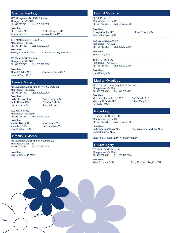# **Gastroenterology**

4705 Montgomery Blvd NE, Suite 201 Albuquerque, NM 87109 Ph: 505.727.7833 Fax: 505.727.9590

#### **Providers:**

Chris Carter, M.D. Bridget Coyne, CNP Julie Farrer, M.D. Jessica Ryder, PA-C

4801 McMahon Blvd., Suite 245 Albuquerque, NM 87114 Ph: 505.727.7833 Fax: 505.727.9590

**Providers:** Katheryne Barron, CNP Chinonyerem Enyinna, M.D.

500 Walter St NE, Suite 401 Albuquerque, NM 87102 Ph: 505.727.7833 Fax: 505.727.9590

**Providers:** Ahmed Bolkhir, M.D. Genevieve Davis, CNP Laura LeBlanc, CNP

# General Surgery

715 Dr. Martin Luther King Jr. Ave, NE, Suite 301 Albuquerque, NM 87102<br>Ph: 505.727.7090 Fax Ph: 505.727.7090 Fax: 505.727.9590

**Providers:** Craig Gilcrease, PA-C David Hoang, M.D. Paul Meade, M.D.

Emily Hunter, PA-C Erica McBride, DO<br>Paul Meade, M.D. Rio Udell, PA-C

6701 Jefferson NE Albuquerque, NM 87109 Ph: 505.727.7050 Fax: 505.727.9590

**Providers:**

Michael Blea, M.D. Amy Bower, PA-C Mario Leyba, M.D. Maia Polinger, PA-C Goldyn Rubio, PA-C

# Infectious Disease

715 Dr. Martin Luther King Jr. NE, Suite 201 Albuquerque NM 87102 Ph: 505.727.3020 Fax: 505.727.9508

**Providers:** Sara Rogers, DNP, ACNP

# Internal Medicine

6701 Jefferson NE Albuquerque, NM 87109 Ph: 505.727.6200 Fax: 505.727.9590

**Providers:** Carolyn Castillo, M.D. Rosa Galvez, M.D. Edmee Rodriguez, M.D.

3900 Las Estancias Ct SW Albuquerque, NM 87121 Ph: 505.727.4200 Fax: 505.727.9590

**Providers:** Fredie Diaz, M.D.

4420 Irving Blvd NW Albuquerque, NM 87114 Ph: 505.727.6300 Fax: 505.727.9590

**Providers:** Niyati Patel, M.D.

# Medical Oncology

715 Dr. Martin Luther King Jr Blvd. Ste. 102 Albuquerque, NM 87102 Ph: 505.727.3040 Fax: 505.727.9590

**Providers:** 

Muhammad Anas Tarakji, M.D. Paul Brittain, M.D. Malcolm H. Purdy, M.D. Yubao Wang, M.D. Fay Walsh, PA-C

# **Neurology**

500 Walter St NE, Suite 401 Albuquerque, NM 87102 Ph: 505.727.5910 Fax: 505.727.5939

**Providers:**  Kader AbdeleRahman, M.D. Vanessa Licona SanJuan, M.D. Daniel Shibuya, M.D.

Clara Jane Roberts, Ph.D. (Neuropsychology)

#### **Neurosurgery**

500 Walter St NE, Suite 401 Albuquerque, NM 87102 Ph: 505.727.5910 Fax: 505.727.5936

**Providers:** 

Mark Erasmus, M.D. Mary Elizabeth Trujillo, CNP

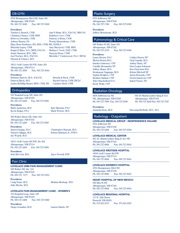# OB-GYN

4705 Montgomery Blvd NE, Suite 301 Albuquerque, NM 87109 Ph: 505.727.4500 Fax: 505.727.9590

#### **Providers:**

Tambra L Bensch, CNM Asit N Bhatt, M.D., FACOG, MRCOG Christina Chaney, CNM, MSN Kathleen Coco, CNM Rebecca Dworkin, CNM Patricia A Heinz, CNM Aubrey Huerta, PA Wendy Kimmelman, CNM Mary Rose Korduner, RN, BSN, CNM, MS, SANE-A Melynda Lopez, CNM Amy MacLeod, CNM, MSN Regan E Riley, D.O., MPH, FACOG Melissa C Scott, DNP, CNM Jessie Simmon, M.D., MSc Sureyya Stone, CNM Dhyana K Velasco, M.D.

Michelle C Underwood, PA-C, MPAS

10511 Golf Course Rd NW, Suite 201 Albuquerque, NM 87114 Ph: 505.727.4500 Fax: 505.727.9564

#### **Providers:**

Bethany Barrow, M.D., FACOG Brenda K Beck, CNM Patricia Black, M.D. Rachel Garcia, CNM, IBCLC Audra McKillip-Heard, MSN, CNM, RN Candace Reid, CNM

# **Orthopedics**

101 Hospital Loop NE, Suite 201 Albuquerque, NM 87109 Ph: 505.727.4430 Fax: 505.727.9590

#### **Providers:**

Kevin Regan, PA-C Mark Werner, M.D.

Mark Anderson, M.D. Kyle Maestas, PA-C

500 Walter Street NE, Suite 104 Albuquerque, NM 87102 Ph: 505.727.4430 Fax: 505.727.9590

**Providers:** Jay Wojcik, M.D.

James Dunlap, PA-C Christopher Hanosh, M.D. Patrick Gilligan, M.D. Robert Martinez Jr., FNP-C

10511 Golf Course Rd NW, Ste 204 Albuquerque, NM 87114 Ph: 505.727.4430 Fax: 505.727.9590

**Providers:**

Seth McCord, M.D. Jayce Powell, FNP

# Pain Clinic

LOVELACE UNM PAIN MANAGEMENT CLINIC 500 Walter NE, Ste. 213 Albuquerque, NM 87102 Ph: 505.727. 7177 Fax: 505.727.9353

**Providers:** Julie Muche, M.D.

Craig Narin, M.D. Melissa Merhege, M.D.

# LOVELACE PAIN MANAGEMENT CLINIC - WOMEN'S

101 Hospital Loop, Suite 109 Albuquerque, NM 87109 Ph: 505.727.4400 Fax: 505.727.9480

**Providers:** Diego Gonzalez, M.D. Lauren Harris, NP

# Plastic Surgery

6701 Jefferson NE Albuquerque, NM 87109 Ph: 505.727.1700 Fax: 505.727.9590

#### **Providers:**

Jeffrey Morehouse, M.D.

# Pulmonology & Critical Care

500 Walter St NE, Suite 501 Albuquerque, NM 87102 Ph: 505.727.3170 Fax: 505.727.9590

# **Providers:**

Michel Boivin M.D. Viral Gandhi, M.D. Sandra Gutierrez, CNP<br>
Camille Hernandez NP<br>
Staci Logue-John Jeffrey Mazer, M.D. Ben Paruchuri M.D. Sivakumar Nagaraju, M.D. Robyn Mitchell NP Sophia Rodgers, CNP Jason Rotonda, CNP Heather Salazar, CNP Derek Sandoval ,CNP Tyler Shackelford D.O. Isabel Torres, NP Keely Wells, CNP

Laura Abeyta, PA-C Caitlyn Brown NP Staci Logue-Johnson

# Radiation Oncology

NE, Albuquerque, NM 87109 Albuquerque, NM 87102 Ph: 505.727.7900 Fax: 505.727.9590 Ph: 505.727.8240 Fax: 505.727.7347

4650 Jefferson Ln NE 601 Dr Martin Luther King Jr Ave

**Providers:**  Amanda Story, M.D. Heyoung McBride, M.D., M.S.

# Radiology - Outpatient

LOVELACE MEDICAL GROUP - INDEPENDENCE SQUARE 6701 Jefferson NE

Albuquerque, NM 87109 Ph: 505.727.6200 Fax: 505.727.9590

#### LOVELACE MEDICAL CENTER

601 Dr. Martin Luther King Jr Ave NE Albuquerque, NM 87102 Ph: 505.727.8966 Fax: 505.727.9816

#### LOVELACE WESTSIDE HOSPITAL

10501 Golf Course Rd NW Albuquerque, NM 87114 Ph: 505.727.8966 Fax: 505.727.9816

# LOVELACE WOMEN'S HOSPITAL

4701 Montgomery Blvd NE Albuquerque, NM 87109 Ph: 505.727.8966 Fax: 505.727.9816

# HEART HOSPITAL OF NEW MEXICO

504 Elm St NE Albuquerque, NM 87102 Ph: 505.727.8966 Fax: 505.727.9816

#### LOVELACE REGIONAL HOSPITAL

117 E. 19th Street Roswell, NM 88201 Ph: 575.625.3371 Fax: 575.625.3353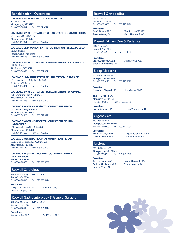# Rehabilitation - Outpatient

LOVELACE UNM REHABILITATION HOSPITAL 505 Elm St. NE Albuquerque, NM 87102 Fax: 505.27.9271

#### LOVELACE UNM OUTPATIENT REHABILITATION - SOUTH COORS

4250 Coors Blvd SW, Unit C Albuquerque, NM 87121 Ph: 505.727.4961 Fax: 505.727.9271

LOVELACE UNM OUTPATIENT REHABILITATION - JEMEZ PUEBLO 129A Canal St Jemez Pueblo, NM 87505 Ph: 505.834.9168 Fax: 505.727.9158

LOVELACE UNM OUTPATIENT REHABILITATION - RIO RANCHO 111 Rio Rancho Rio Rancho, NM 87124 Ph: 505.727.4950 Fax: 505.727.9271

LOVELACE UNM OUTPATIENT REHABILITATION - SANTA FE 1692 Hospital Dr, Bldg. B, Suite 202 Santa Fe, NM 87505 Ph: 505.727.4971 Fax: 595.727.9271

LOVELACE UNM OUTPATIENT REHABILITATION - WYOMING 7910 Wyoming Blvd NE, Suite C Albuquerque, NM 87109 Ph: 505.727.4888 Fax: 505.727.9271

# LOVELACE WOMEN'S HOSPITAL OUTPATIENT REHAB

4600 Montgomery Blvd NE Albuquerque, NM 87109 Ph: 505.727.4620 Fax: 505.727.9271

#### LOVELACE WOMEN'S HOSPITAL OUTPATIENT REHAB - HAND CLINIC

101 Hospital Loop NE, Suite 206 Albuquerque, NM 87109 Ph: 505.727.4657 Fax: 505.727.9271

#### LOVELACE WESTSIDE HOSPITAL OUTPATIENT REHAB

10511 Golf Course Rd. NW, Suite 205 Albuquerque, NM 87114<br>Ph: 505.727.2123 Fax Fax: 505.727.9271

#### LOVELACE REGIONAL HOSPITAL OUTPATIENT REHAB

117 E. 19th Street Roswell, NM 88201 Ph: 575.625.3372 Fax: 575.625.3303

# Roswell Cardiology

311 West Country Club Road, Ste 1 Roswell, NM 88201 Ph: 575.625.3400 Fax: 575.625.3414

**Providers:** Missy Richardson, CNP Amanda Ryan, D.O. Jennifer Tupper, DNP

# Roswell Gastroenterology & General Surgery

311 West Country Club Road, Ste 1 Roswell, NM 88201 Ph: 575.625.3400 Fax: 575.625.3414

**Providers:** Regina Smith, CFNP Paul Torres, M.D.

# Roswell Orthopedics

115 E. 19th St. Roswell, NM 88201<br>Ph: 575.625.3300 Fax: 505.727.9486

**Providers:** Frank Bryant, M.D. Earl Latimer III, M.D.

Jessica Steele, PA John Thomas, PA-C

# Roswell Primary Care & Pediatrics

1112 N. Main St Roswell, NM 88201 Ph: 575.627.4200 Fax: 575.627.4212

**Providers:** Bruce Andrews, CFNP Peter Jewell, M.D. Sarah East-Brumana, PA-C

# Sleep Medicine

500 Walter Street NE Albuquerque, NM 87102 Ph: 505.727.3170 Fax: 505.727.9590

**Provider:**

Sivakumar Nagaraju, M.D. Erica Lujan, CNP

4420 Irving Blvd NW Albuquerque, NM 87114 Ph: 505.727.3170 Fax: 505.727.9590

**Providers:**

Donna Whalen, NP Elchin Zeynalov, M.D.

# Urgent Care

6701 Jefferson NE Albuquerque, NM 87109 Ph: 505.727.0600 Fax: 505.727.9590

**Providers:** Brittany Dow, FNP-C Jacqueline Guinn, CFNP Lisa Lintzenich, FNP-C Lynn Padilla, FNP-C

# Urology

6701 Jefferson NE Albuquerque, NM 87109 Ph: 505.727.6200 Fax: 505.727.9590

#### **Providers:**

Andrew Grollman, M.D. Tomy Perez, M.D. Nanette Vela, CNP

Jerome Baca, PA-C Aaron Geswaldo, D.O.

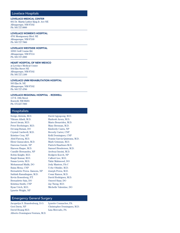# Lovelace Hospitals

LOVELACE MEDICAL CENTER 601 Dr. Martin Luther King Jr. Ave NE Albuquerque, NM 87102 Ph: 505.727.8000

#### LOVELACE WOMEN'S HOSPITAL

4701 Montgomery Blvd. NE Albuquerque, NM 87109 Ph: 505.727.7800

#### LOVELACE WESTSIDE HOSPITAL

10501 Golf Course Rd. Albuquerque, NM 87114 Ph: 505.727.2000

## HEART HOSPITAL OF NEW MEXICO

at Lovelace Medical Center 504 Elm Street NE Albuquerque, NM 87102 Ph: 505.727.1100

#### LOVELACE UNM REHABILITATION HOSPITAL

505 Elm St. NE Albuquerque, NM 87102 Ph: 505.727.4700

#### LOVELACE REGIONAL HOSPITAL - ROSWELL

117 E. 19th Street Roswell, NM 88201 Ph: 575.627.7000

### Hospitalists

Serigo Abriola, M.D. David Agyapong, M.D. Vikram Alladi, M.D. Harkesh Arora, M.D. Javed Awais, M.D. Mario Benavidez, M.D. Peter Boehringer, M.D. Mary Brennan, M.D. Devang Butani, DO Kimberly Cantu, NP Crystal Cardwell, M.D. Beverly Carter, CNP Kristine Cruz, NP Kelli Dominguez, CNP Abid Farooq, M.D. Yoania Garcia-Quintana, M.D. Eleni Gianacakes, M.D. Mark Grinman, M.D. Dareena Gurule, NP Patrick Haarhues M.D. Haroon Haque, M.D. Samuel Henderson, M.D. Camille Hernandez, NP Aroboyi Imoisi, M.D. Robin Knight, M.D. Rodgers Koech, NP Ranjit Kumar, M.D. Calbert Lee, M.D. Susan Lewis, M.D. Tahir Mahmood, DO Mohammad Malik, DO Jody Masters, PA-C Raiza Mena, CNP Uche Obisike, M.D. Bernadette Perea- Zamora, NP Joseph Perea, M.D. Sathish Ramalingam, M.D. Cesar Ramos, M.D. Kevin Rosenberg, P.T. David Rodriguez, M.D. Bernadette Saiz, DO Omeed Sizar, DO Kristina Smith, CNP Jay Tseng, M.D. Ryan Urich, M.D. Michelle Valentine, DO Lynette Wright, NP

# Emergency General Surgery

Jacquelyn S. Brandenburg, D.O. Lynette Connacher, PA Geri Davis, NP Christopher Dominguez, M.D. David Hoang M.D. Lisa Mercado, PA Alberto Dominguez-Ventura, M.D.